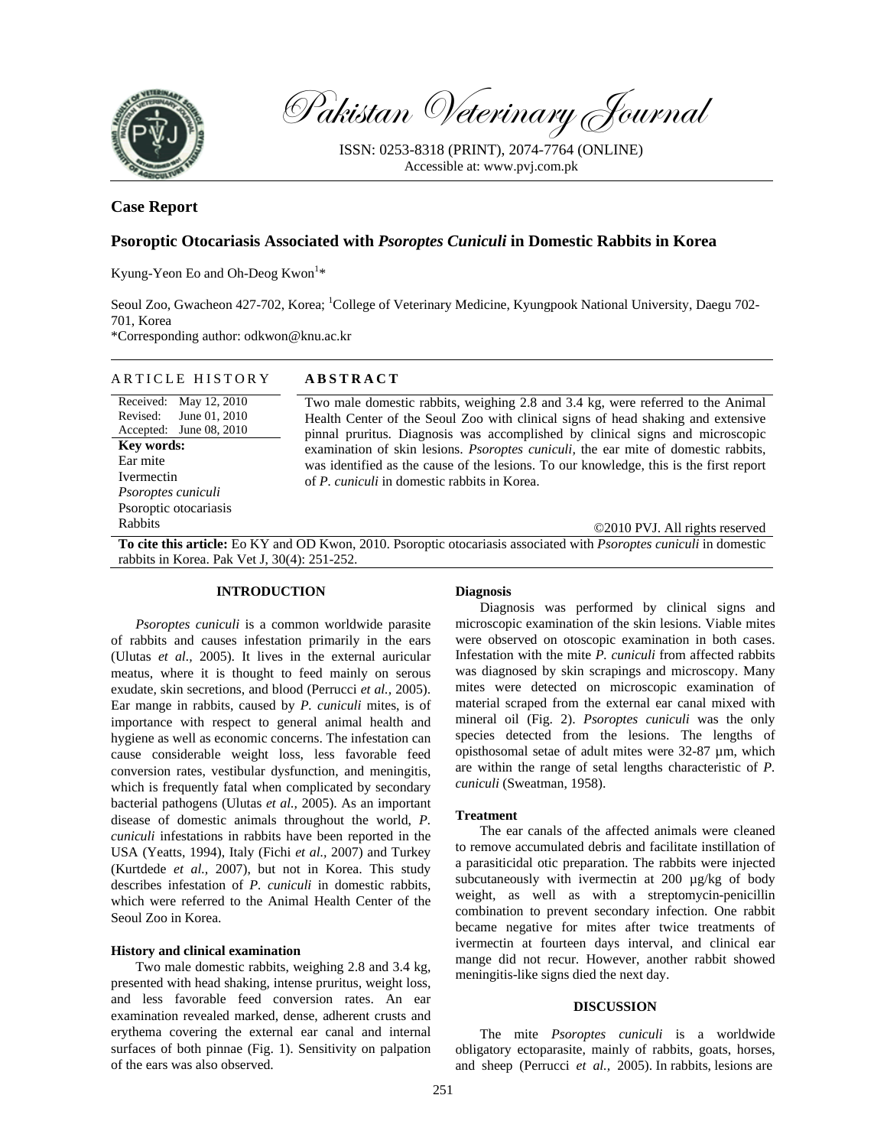

Pakistan Veterinary Journal

ISSN: 0253-8318 (PRINT), 2074-7764 (ONLINE) Accessible at: www.pvj.com.pk

# **Case Report**

# **Psoroptic Otocariasis Associated with** *Psoroptes Cuniculi* **in Domestic Rabbits in Korea**

Kyung-Yeon Eo and Oh-Deog Kwon<sup>1\*</sup>

Seoul Zoo, Gwacheon 427-702, Korea; <sup>1</sup>College of Veterinary Medicine, Kyungpook National University, Daegu 702-701, Korea

\*Corresponding author: odkwon@knu.ac.kr

| <b>ABSTRACT</b><br>ARTICLE HISTORY |
|------------------------------------|
|------------------------------------|

Received: May 12, 2010 Revised: Accepted: June 08, 2010 June 01, 2010 **Key words:**  Ear mite Ivermectin *Psoroptes cuniculi*  Psoroptic otocariasis Rabbits

Two male domestic rabbits, weighing 2.8 and 3.4 kg, were referred to the Animal Health Center of the Seoul Zoo with clinical signs of head shaking and extensive pinnal pruritus. Diagnosis was accomplished by clinical signs and microscopic examination of skin lesions. *Psoroptes cuniculi,* the ear mite of domestic rabbits, was identified as the cause of the lesions. To our knowledge, this is the first report of *P. cuniculi* in domestic rabbits in Korea.

©2010 PVJ. All rights reserved

**To cite this article:** Eo KY and OD Kwon, 2010. Psoroptic otocariasis associated with *Psoroptes cuniculi* in domestic rabbits in Korea. Pak Vet J, 30(4): 251-252.

# **INTRODUCTION**

*Psoroptes cuniculi* is a common worldwide parasite of rabbits and causes infestation primarily in the ears (Ulutas *et al.,* 2005). It lives in the external auricular meatus, where it is thought to feed mainly on serous exudate, skin secretions, and blood (Perrucci *et al.,* 2005). Ear mange in rabbits, caused by *P. cuniculi* mites, is of importance with respect to general animal health and hygiene as well as economic concerns. The infestation can cause considerable weight loss, less favorable feed conversion rates, vestibular dysfunction, and meningitis, which is frequently fatal when complicated by secondary bacterial pathogens (Ulutas *et al.,* 2005). As an important disease of domestic animals throughout the world, *P. cuniculi* infestations in rabbits have been reported in the USA (Yeatts, 1994), Italy (Fichi *et al.,* 2007) and Turkey (Kurtdede *et al.,* 2007), but not in Korea. This study describes infestation of *P. cuniculi* in domestic rabbits, which were referred to the Animal Health Center of the Seoul Zoo in Korea.

#### **History and clinical examination**

Two male domestic rabbits, weighing 2.8 and 3.4 kg, presented with head shaking, intense pruritus, weight loss, and less favorable feed conversion rates. An ear examination revealed marked, dense, adherent crusts and erythema covering the external ear canal and internal surfaces of both pinnae (Fig. 1). Sensitivity on palpation of the ears was also observed.

## **Diagnosis**

Diagnosis was performed by clinical signs and microscopic examination of the skin lesions. Viable mites were observed on otoscopic examination in both cases. Infestation with the mite *P. cuniculi* from affected rabbits was diagnosed by skin scrapings and microscopy. Many mites were detected on microscopic examination of material scraped from the external ear canal mixed with mineral oil (Fig. 2). *Psoroptes cuniculi* was the only species detected from the lesions. The lengths of opisthosomal setae of adult mites were 32-87 µm, which are within the range of setal lengths characteristic of *P. cuniculi* (Sweatman, 1958).

### **Treatment**

The ear canals of the affected animals were cleaned to remove accumulated debris and facilitate instillation of a parasiticidal otic preparation. The rabbits were injected subcutaneously with ivermectin at 200 µg/kg of body weight, as well as with a streptomycin-penicillin combination to prevent secondary infection. One rabbit became negative for mites after twice treatments of ivermectin at fourteen days interval, and clinical ear mange did not recur. However, another rabbit showed meningitis-like signs died the next day.

#### **DISCUSSION**

The mite *Psoroptes cuniculi* is a worldwide obligatory ectoparasite, mainly of rabbits, goats, horses, and sheep (Perrucci *et al.,* 2005). In rabbits, lesions are